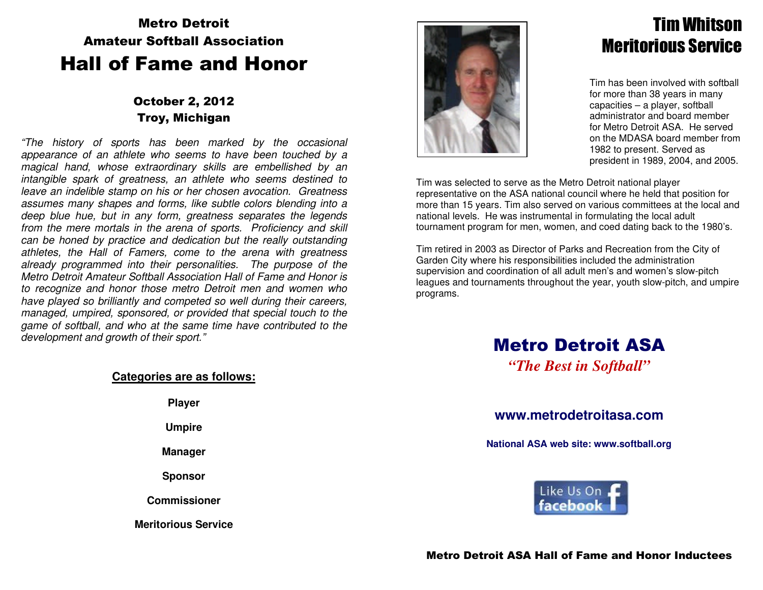# Metro Detroit Amateur Softball AssociationHall of Fame and Honor

### October 2, 2012 Troy, Michigan

"The history of sports has been marked by the occasional appearance of an athlete who seems to have been touched by a magical hand, whose extraordinary skills are embellished by an intangible spark of greatness, an athlete who seems destined to leave an indelible stamp on his or her chosen avocation. Greatness assumes many shapes and forms, like subtle colors blending into a deep blue hue, but in any form, greatness separates the legends from the mere mortals in the arena of sports. Proficiency and skill can be honed by practice and dedication but the really outstanding athletes, the Hall of Famers, come to the arena with greatness already programmed into their personalities. The purpose of the Metro Detroit Amateur Softball Association Hall of Fame and Honor is to recognize and honor those metro Detroit men and women who have played so brilliantly and competed so well during their careers, managed, umpired, sponsored, or provided that special touch to the game of softball, and who at the same time have contributed to the development and growth of their sport."

### **Categories are as follows:**

**Player** 

**Umpire** 

**Manager** 

**Sponsor** 

**Commissioner** 

**Meritorious Service** 



# Tim Whitson Meritorious Service

Tim has been involved with softball for more than 38 years in many capacities – a player, softball administrator and board member for Metro Detroit ASA. He served on the MDASA board member from 1982 to present. Served as president in 1989, 2004, and 2005.

Tim was selected to serve as the Metro Detroit national player representative on the ASA national council where he held that position for more than 15 years. Tim also served on various committees at the local and national levels. He was instrumental in formulating the local adult tournament program for men, women, and coed dating back to the 1980's.

Tim retired in 2003 as Director of Parks and Recreation from the City of Garden City where his responsibilities included the administration supervision and coordination of all adult men's and women's slow-pitch leagues and tournaments throughout the year, youth slow-pitch, and umpire programs.

# Metro Detroit ASA

*"The Best in Softball"* 

### **www.metrodetroitasa.com**

**National ASA web site: www.softball.org**

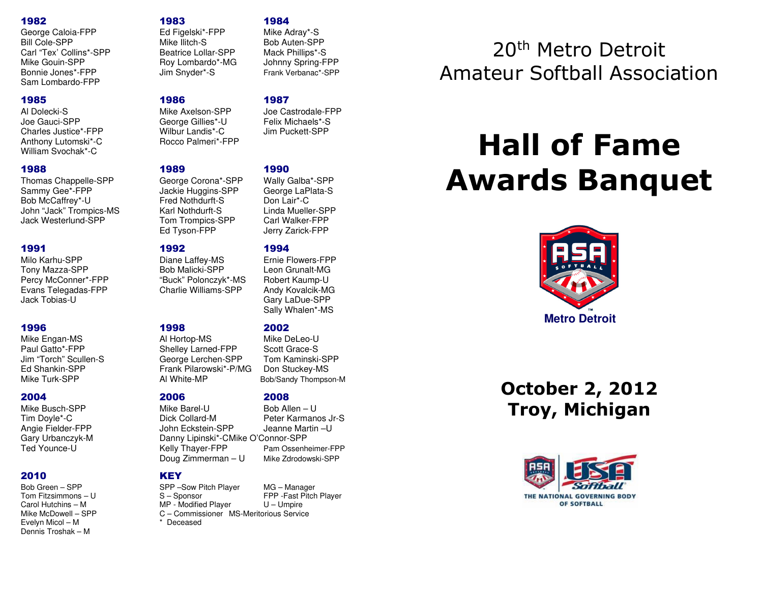### 1982 1983 1984

George Caloia-FPP Ed Figelski\*-FPP Bill Cole-SPP Mike Ilitch-S Bob Auten-SPP Carl "Tex' Collins\*-SPP Beatrice Lollar-SPP Mack Phillips\*-S Mike Gouin-SPP Roy Lombardo\*-MG<br>Bonnie Jones\*-FPP Jim Snyder\*-S Bonnie Jones\*-FPP Jim Snyder\*-S Frank Verbanac\*-SPPSam Lombardo-FPP

Joe Gauci-SPP George Gillies\*-U Felix Michaels\*-S Charles Justice\*-FPP Anthony Lutomski\*-C Rocco Palmeri\*-FPP William Svochak\*-C

### 1988 1989 1990

Thomas Chappelle-SPP George Corona\*-SPP<br>Sammy Gee\*-FPP Jackie Huggins-SPP Bob McCaffrey\*-U Fred Nothdurft-S Don Lair\*-C John "Jack" Trompics-MS Karl Nothdurft-S Jack Westerlund-SPP Tom Trompics-SPP Carl Walker-FPP

### 1991 1992 1994

Milo Karhu-SPP Diane Laffey-MS Tony Mazza-SPP Bob Malicki-SPP Percy McConner\*-FPP "Buck" Polonczyk\*-MS Robert Kaump-U Evans Telegadas-FPP Charlie Williams-SPP<br>Jack Tobias-U

Mike Engan-MS Al Hortop-MS

Mike Busch-SPP Mike Barel-U

### 2010 KEY

Evelyn Micol – M \* Deceased Dennis Troshak – M

Al Dolecki-S Mike Axelson-SPP Joe Castrodale-FPP

Jackie Huggins-SPP George LaPlata-S Ed Tyson-FPP Jerry Zarick-FPP

Paul Gatto\*-FPP Soott Grace-S<br>
Jim "Torch" Scullen-S<br>
George Lerchen-SPP Tom Kaminski Jim "Torch" Scullen-S George Lerchen-SPP Tom Kaminski-SPP Ed Shankin-SPP Frank Pilarowski\*-P/MG<br>Mike Turk-SPP Frank Politic-MP Mike Turk-SPP **Al White-MP** Bob/Sandy Thompson-M

Tim Doyle\*-C **Dick Collard-M** Peter Karmanos Jr-S Angie Fielder-FPP John Eckstein-SPP Jeanne Martin –U Gary Urbanczyk-M Danny Lipinski\*-C Mike O'Connor-SPP Kelly Thayer-FPP Doug Zimmerman - U

Mike Adray\*-S

Mack Phillips\*-S

Johnny Spring-FPP

Wally Galba\*-SPP Linda Mueller-SPP

### 1996 1998 2002

Mike Del eo-U

Bob Allen - U

Bob Green – SPP SPP –Sow Pitch Player MG – Manager Tom Fitzsimmons – U S – Sponsor FPP -Fast Pitch Player Carol Hutchins – M MP - Modified Player U – Umpire<br>Mike McDowell – SPP C – Commissioner MS-Meritorious Servic Mike McDowell – SPP C – Commissioner MS-Meritorious Service

## 1985 1986 1987

**Frnie Flowers-FPP** Leon Grunalt-MG Andy Kovalcik-MG Gary LaDue-SPP Sally Whalen\*-MS

Tom Kaminski-SPP

### 2004 2006 2008

Pam Ossenheimer-FPP Mike Zdrodowski-SPP

# 20th Metro Detroit Amateur Softball Association

# **Hall of FameAwards Banquet**



**October 2, 2012 Troy, Michigan**

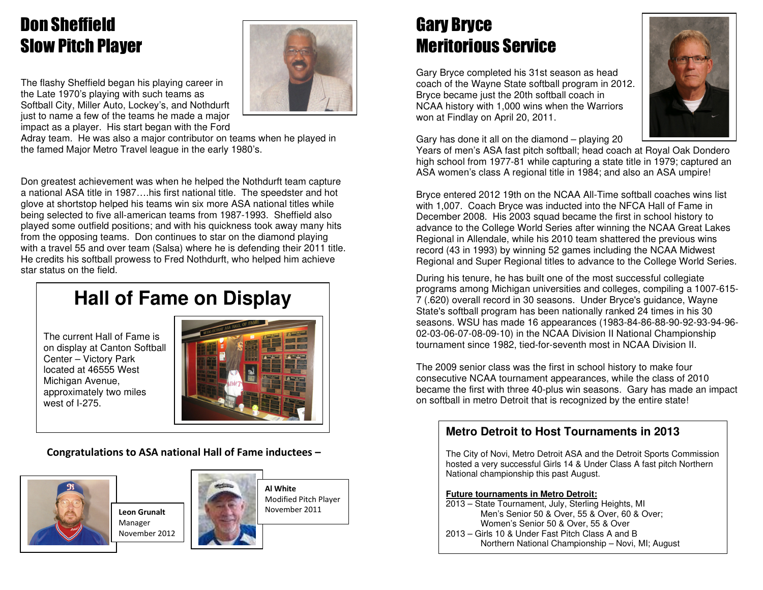# Don Sheffield Slow Pitch Player

The flashy Sheffield began his playing career in the Late 1970's playing with such teams as Softball City, Miller Auto, Lockey's, and Nothdurft just to name a few of the teams he made a major impact as a player. His start began with the Ford



 Adray team. He was also a major contributor on teams when he played in the famed Major Metro Travel league in the early 1980's.

Don greatest achievement was when he helped the Nothdurft team capture a national ASA title in 1987….his first national title. The speedster and hot glove at shortstop helped his teams win six more ASA national titles while being selected to five all-american teams from 1987-1993. Sheffield also played some outfield positions; and with his quickness took away many hits from the opposing teams. Don continues to star on the diamond playing with a travel 55 and over team (Salsa) where he is defending their 2011 title. He credits his softball prowess to Fred Nothdurft, who helped him achieve star status on the field.

# **Hall of Fame on Display**

The current Hall of Fame is on display at Canton Softball Center – Victory Park located at 46555 West Michigan Avenue, approximately two miles west of I-275.



### **Congratulations to ASA national Hall of Fame inductees –**



**Leon Grunalt** Manager November 2012



**Al White**  Modified Pitch Player November 2011

# Gary Bryce Meritorious Service

Gary Bryce completed his 31st season as head coach of the Wayne State softball program in 2012. Bryce became just the 20th softball coach in NCAA history with 1,000 wins when the Warriors won at Findlay on April 20, 2011.



Gary has done it all on the diamond – playing 20

 Years of men's ASA fast pitch softball; head coach at Royal Oak Dondero high school from 1977-81 while capturing a state title in 1979; captured an ASA women's class A regional title in 1984; and also an ASA umpire!

Bryce entered 2012 19th on the NCAA All-Time softball coaches wins list with 1,007. Coach Bryce was inducted into the NFCA Hall of Fame in December 2008. His 2003 squad became the first in school history to advance to the College World Series after winning the NCAA Great Lakes Regional in Allendale, while his 2010 team shattered the previous wins record (43 in 1993) by winning 52 games including the NCAA Midwest Regional and Super Regional titles to advance to the College World Series.

During his tenure, he has built one of the most successful collegiate programs among Michigan universities and colleges, compiling a 1007-615-7 (.620) overall record in 30 seasons. Under Bryce's guidance, Wayne State's softball program has been nationally ranked 24 times in his 30 seasons. WSU has made 16 appearances (1983-84-86-88-90-92-93-94-96-02-03-06-07-08-09-10) in the NCAA Division II National Championship tournament since 1982, tied-for-seventh most in NCAA Division II.

The 2009 senior class was the first in school history to make four consecutive NCAA tournament appearances, while the class of 2010 became the first with three 40-plus win seasons. Gary has made an impact on softball in metro Detroit that is recognized by the entire state!

### **Metro Detroit to Host Tournaments in 2013**

The City of Novi, Metro Detroit ASA and the Detroit Sports Commission hosted a very successful Girls 14 & Under Class A fast pitch Northern National championship this past August.

### **Future tournaments in Metro Detroit:**

 2013 – State Tournament, July, Sterling Heights, MI Men's Senior 50 & Over, 55 & Over, 60 & Over; Women's Senior 50 & Over, 55 & Over 2013 – Girls 10 & Under Fast Pitch Class A and B Northern National Championship – Novi, MI; August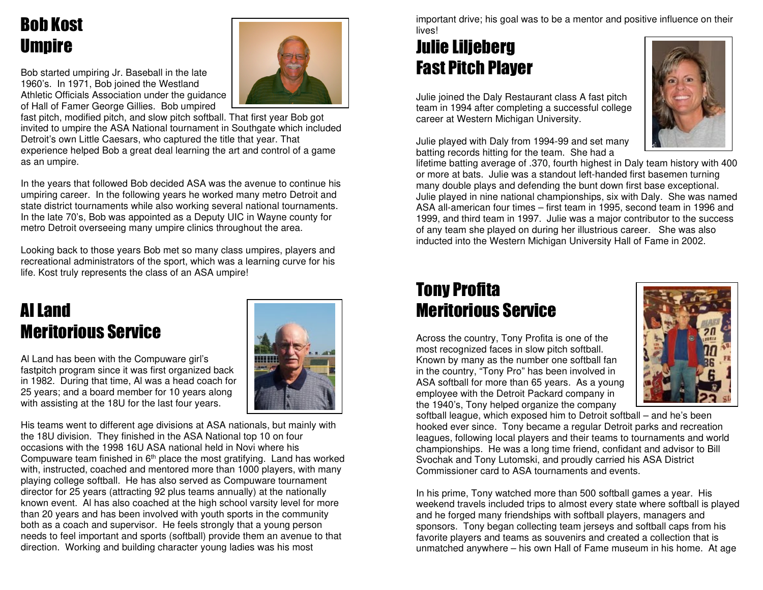# Bob Kost Umpire

Bob started umpiring Jr. Baseball in the late 1960's. In 1971, Bob joined the Westland Athletic Officials Association under the guidance of Hall of Famer George Gillies. Bob umpired

 fast pitch, modified pitch, and slow pitch softball. That first year Bob got invited to umpire the ASA National tournament in Southgate which included Detroit's own Little Caesars, who captured the title that year. That experience helped Bob a great deal learning the art and control of a game as an umpire.

In the years that followed Bob decided ASA was the avenue to continue his umpiring career. In the following years he worked many metro Detroit and state district tournaments while also working several national tournaments. In the late 70's, Bob was appointed as a Deputy UIC in Wayne county for metro Detroit overseeing many umpire clinics throughout the area.

Looking back to those years Bob met so many class umpires, players and recreational administrators of the sport, which was a learning curve for his life. Kost truly represents the class of an ASA umpire!

# Al Land Meritorious Service

Al Land has been with the Compuware girl's fastpitch program since it was first organized back in 1982. During that time, Al was a head coach for25 years; and a board member for 10 years along with assisting at the 18U for the last four years.



His teams went to different age divisions at ASA nationals, but mainly with the 18U division. They finished in the ASA National top 10 on four occasions with the 1998 16U ASA national held in Novi where his Compuware team finished in 6<sup>th</sup> place the most gratifying. Land has worked with, instructed, coached and mentored more than 1000 players, with many playing college softball. He has also served as Compuware tournament director for 25 years (attracting 92 plus teams annually) at the nationally known event. Al has also coached at the high school varsity level for more than 20 years and has been involved with youth sports in the community both as a coach and supervisor. He feels strongly that a young person needs to feel important and sports (softball) provide them an avenue to that direction. Working and building character young ladies was his most

important drive; his goal was to be a mentor and positive influence on their lives!

# Julie Liljeberg Fast Pitch Player

Julie joined the Daly Restaurant class A fast pitch team in 1994 after completing a successful college career at Western Michigan University.

Julie played with Daly from 1994-99 and set many batting records hitting for the team. She had a



 lifetime batting average of .370, fourth highest in Daly team history with 400 or more at bats. Julie was a standout left-handed first basemen turning many double plays and defending the bunt down first base exceptional. Julie played in nine national championships, six with Daly. She was named ASA all-american four times – first team in 1995, second team in 1996 and 1999, and third team in 1997. Julie was a major contributor to the success of any team she played on during her illustrious career. She was also inducted into the Western Michigan University Hall of Fame in 2002.

# Tony Profita Meritorious Service

Across the country, Tony Profita is one of the most recognized faces in slow pitch softball. Known by many as the number one softball fan in the country, "Tony Pro" has been involved in ASA softball for more than 65 years. As a young employee with the Detroit Packard company in the 1940's, Tony helped organize the company



 softball league, which exposed him to Detroit softball – and he's been hooked ever since. Tony became a regular Detroit parks and recreation leagues, following local players and their teams to tournaments and world championships. He was a long time friend, confidant and advisor to Bill Svochak and Tony Lutomski, and proudly carried his ASA District Commissioner card to ASA tournaments and events.

In his prime, Tony watched more than 500 softball games a year. His weekend travels included trips to almost every state where softball is played and he forged many friendships with softball players, managers and sponsors. Tony began collecting team jerseys and softball caps from his favorite players and teams as souvenirs and created a collection that is unmatched anywhere – his own Hall of Fame museum in his home. At age